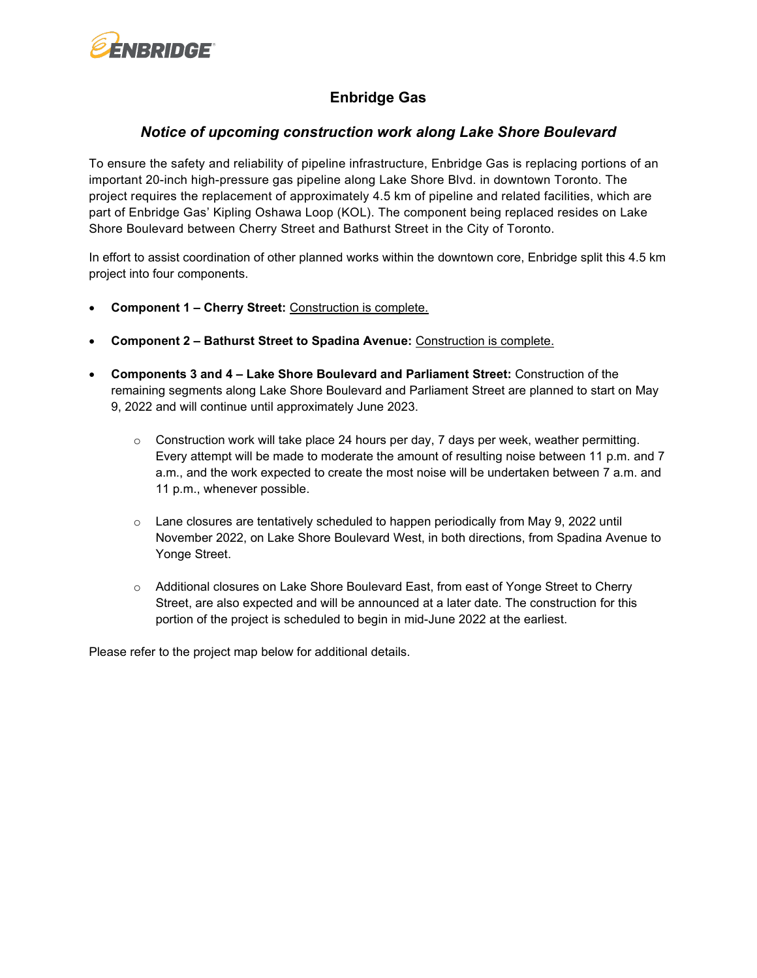

## **Enbridge Gas**

## *Notice of upcoming construction work along Lake Shore Boulevard*

To ensure the safety and reliability of pipeline infrastructure, Enbridge Gas is replacing portions of an important 20-inch high-pressure gas pipeline along Lake Shore Blvd. in downtown Toronto. The project requires the replacement of approximately 4.5 km of pipeline and related facilities, which are part of Enbridge Gas' Kipling Oshawa Loop (KOL). The component being replaced resides on Lake Shore Boulevard between Cherry Street and Bathurst Street in the City of Toronto.

In effort to assist coordination of other planned works within the downtown core, Enbridge split this 4.5 km project into four components.

- **Component 1 – Cherry Street:** Construction is complete.
- **Component 2 – Bathurst Street to Spadina Avenue:** Construction is complete.
- **Components 3 and 4 – Lake Shore Boulevard and Parliament Street:** Construction of the remaining segments along Lake Shore Boulevard and Parliament Street are planned to start on May 9, 2022 and will continue until approximately June 2023.
	- $\circ$  Construction work will take place 24 hours per day, 7 days per week, weather permitting. Every attempt will be made to moderate the amount of resulting noise between 11 p.m. and 7 a.m., and the work expected to create the most noise will be undertaken between 7 a.m. and 11 p.m., whenever possible.
	- $\circ$  Lane closures are tentatively scheduled to happen periodically from May 9, 2022 until November 2022, on Lake Shore Boulevard West, in both directions, from Spadina Avenue to Yonge Street.
	- o Additional closures on Lake Shore Boulevard East, from east of Yonge Street to Cherry Street, are also expected and will be announced at a later date. The construction for this portion of the project is scheduled to begin in mid-June 2022 at the earliest.

Please refer to the project map below for additional details.